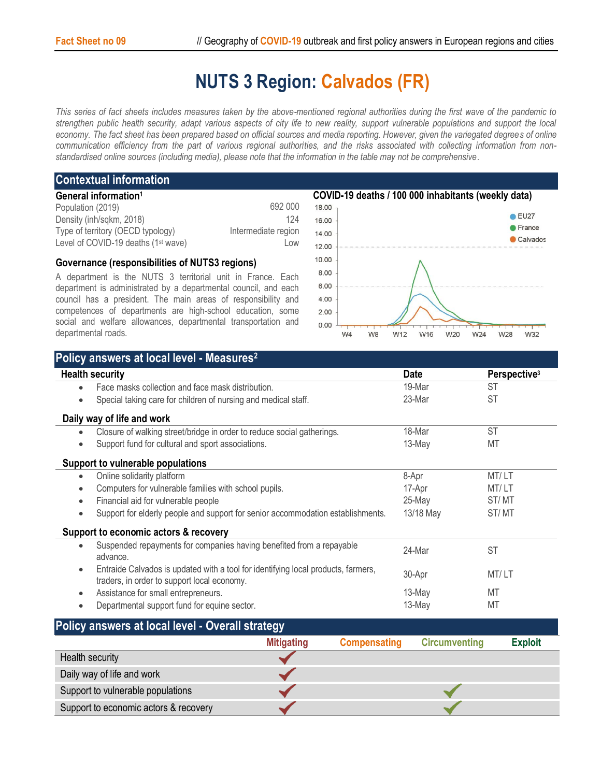## **NUTS 3 Region: Calvados (FR)**

*This series of fact sheets includes measures taken by the above-mentioned regional authorities during the first wave of the pandemic to strengthen public health security, adapt various aspects of city life to new reality, support vulnerable populations and support the local economy. The fact sheet has been prepared based on official sources and media reporting. However, given the variegated degrees of online communication efficiency from the part of various regional authorities, and the risks associated with collecting information from nonstandardised online sources (including media), please note that the information in the table may not be comprehensive*.

## **Contextual information**

| General information <sup>1</sup>                |                     |
|-------------------------------------------------|---------------------|
| Population (2019)                               | 692 000             |
| Density (inh/sqkm, 2018)                        | 124                 |
| Type of territory (OECD typology)               | Intermediate region |
| Level of COVID-19 deaths (1 <sup>st</sup> wave) | Low                 |

## **Governance (responsibilities of NUTS3 regions)**

A department is the NUTS 3 territorial unit in France. Each department is administrated by a departmental council, and each council has a president. The main areas of responsibility and competences of departments are high-school education, some social and welfare allowances, departmental transportation and departmental roads.



| Policy answers at local level - Measures <sup>2</sup>                                                                                         |             |                          |
|-----------------------------------------------------------------------------------------------------------------------------------------------|-------------|--------------------------|
| <b>Health security</b>                                                                                                                        | <b>Date</b> | Perspective <sup>3</sup> |
| Face masks collection and face mask distribution.                                                                                             | 19-Mar      | <b>ST</b>                |
| Special taking care for children of nursing and medical staff.<br>٠                                                                           | 23-Mar      | <b>ST</b>                |
| Daily way of life and work                                                                                                                    |             |                          |
| Closure of walking street/bridge in order to reduce social gatherings.<br>$\bullet$                                                           | 18-Mar      | <b>ST</b>                |
| Support fund for cultural and sport associations.<br>٠                                                                                        | 13-May      | MT                       |
| Support to vulnerable populations                                                                                                             |             |                          |
| Online solidarity platform<br>$\bullet$                                                                                                       | 8-Apr       | MT/LT                    |
| Computers for vulnerable families with school pupils.<br>$\bullet$                                                                            | 17-Apr      | MT/LT                    |
| Financial aid for vulnerable people                                                                                                           | 25-May      | ST/MT                    |
| Support for elderly people and support for senior accommodation establishments.<br>٠                                                          | 13/18 May   | ST/MT                    |
| Support to economic actors & recovery                                                                                                         |             |                          |
| Suspended repayments for companies having benefited from a repayable<br>$\bullet$<br>advance.                                                 | 24-Mar      | <b>ST</b>                |
| Entraide Calvados is updated with a tool for identifying local products, farmers,<br>$\bullet$<br>traders, in order to support local economy. | 30-Apr      | MT/LT                    |
| Assistance for small entrepreneurs.<br>٠                                                                                                      | 13-May      | MT                       |
| Departmental support fund for equine sector.<br>٠                                                                                             | 13-May      | MT                       |

| Policy answers at local level - Overall strategy |                   |                     |                      |                |  |  |
|--------------------------------------------------|-------------------|---------------------|----------------------|----------------|--|--|
|                                                  | <b>Mitigating</b> | <b>Compensating</b> | <b>Circumventing</b> | <b>Exploit</b> |  |  |
| Health security                                  |                   |                     |                      |                |  |  |
| Daily way of life and work                       |                   |                     |                      |                |  |  |
| Support to vulnerable populations                |                   |                     |                      |                |  |  |
| Support to economic actors & recovery            |                   |                     |                      |                |  |  |